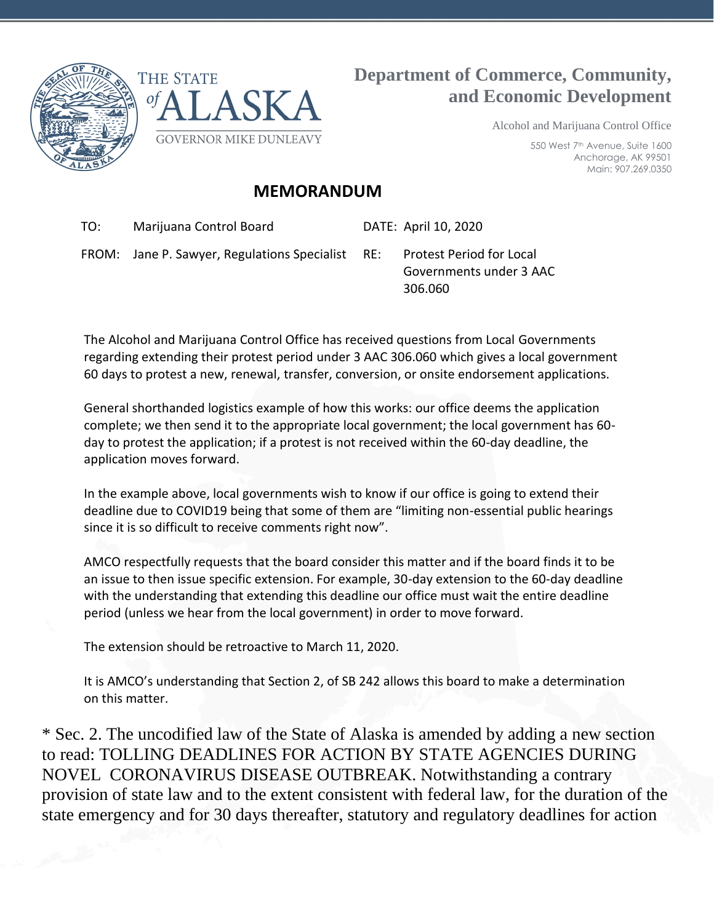



## **Department of Commerce, Community, and Economic Development**

Alcohol and Marijuana Control Office

550 West 7th Avenue, Suite 1600 Anchorage, AK 99501 Main: 907.269.0350

## **MEMORANDUM**

TO: Marijuana Control Board DATE: April 10, 2020

FROM: Jane P. Sawyer, Regulations Specialist RE: Protest Period for Local

Governments under 3 AAC 306.060

The Alcohol and Marijuana Control Office has received questions from Local Governments regarding extending their protest period under 3 AAC 306.060 which gives a local government 60 days to protest a new, renewal, transfer, conversion, or onsite endorsement applications.

General shorthanded logistics example of how this works: our office deems the application complete; we then send it to the appropriate local government; the local government has 60 day to protest the application; if a protest is not received within the 60-day deadline, the application moves forward.

In the example above, local governments wish to know if our office is going to extend their deadline due to COVID19 being that some of them are "limiting non-essential public hearings since it is so difficult to receive comments right now".

AMCO respectfully requests that the board consider this matter and if the board finds it to be an issue to then issue specific extension. For example, 30-day extension to the 60-day deadline with the understanding that extending this deadline our office must wait the entire deadline period (unless we hear from the local government) in order to move forward.

The extension should be retroactive to March 11, 2020.

It is AMCO's understanding that Section 2, of SB 242 allows this board to make a determination on this matter.

\* Sec. 2. The uncodified law of the State of Alaska is amended by adding a new section to read: TOLLING DEADLINES FOR ACTION BY STATE AGENCIES DURING NOVEL CORONAVIRUS DISEASE OUTBREAK. Notwithstanding a contrary provision of state law and to the extent consistent with federal law, for the duration of the state emergency and for 30 days thereafter, statutory and regulatory deadlines for action